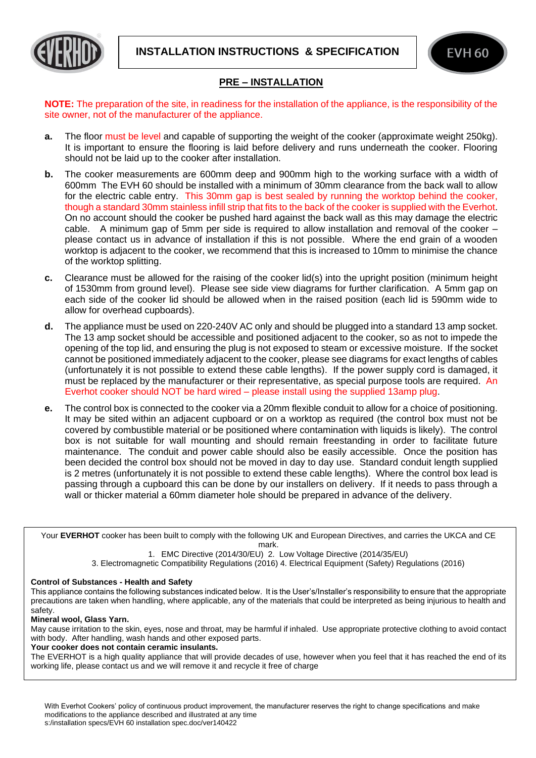



## **PRE – INSTALLATION**

**NOTE:** The preparation of the site, in readiness for the installation of the appliance, is the responsibility of the site owner, not of the manufacturer of the appliance.

- **a.** The floor must be level and capable of supporting the weight of the cooker (approximate weight 250kg). It is important to ensure the flooring is laid before delivery and runs underneath the cooker. Flooring should not be laid up to the cooker after installation.
- **b.** The cooker measurements are 600mm deep and 900mm high to the working surface with a width of 600mm The EVH 60 should be installed with a minimum of 30mm clearance from the back wall to allow for the electric cable entry. This 30mm gap is best sealed by running the worktop behind the cooker, though a standard 30mm stainless infill strip that fits to the back of the cooker is supplied with the Everhot. On no account should the cooker be pushed hard against the back wall as this may damage the electric cable. A minimum gap of 5mm per side is required to allow installation and removal of the cooker – please contact us in advance of installation if this is not possible. Where the end grain of a wooden worktop is adjacent to the cooker, we recommend that this is increased to 10mm to minimise the chance of the worktop splitting.
- **c.** Clearance must be allowed for the raising of the cooker lid(s) into the upright position (minimum height of 1530mm from ground level). Please see side view diagrams for further clarification. A 5mm gap on each side of the cooker lid should be allowed when in the raised position (each lid is 590mm wide to allow for overhead cupboards).
- **d.** The appliance must be used on 220-240V AC only and should be plugged into a standard 13 amp socket. The 13 amp socket should be accessible and positioned adjacent to the cooker, so as not to impede the opening of the top lid, and ensuring the plug is not exposed to steam or excessive moisture. If the socket cannot be positioned immediately adjacent to the cooker, please see diagrams for exact lengths of cables (unfortunately it is not possible to extend these cable lengths). If the power supply cord is damaged, it must be replaced by the manufacturer or their representative, as special purpose tools are required. An Everhot cooker should NOT be hard wired – please install using the supplied 13amp plug.
- **e.** The control box is connected to the cooker via a 20mm flexible conduit to allow for a choice of positioning. It may be sited within an adjacent cupboard or on a worktop as required (the control box must not be covered by combustible material or be positioned where contamination with liquids is likely). The control box is not suitable for wall mounting and should remain freestanding in order to facilitate future maintenance. The conduit and power cable should also be easily accessible. Once the position has been decided the control box should not be moved in day to day use. Standard conduit length supplied is 2 metres (unfortunately it is not possible to extend these cable lengths). Where the control box lead is passing through a cupboard this can be done by our installers on delivery. If it needs to pass through a wall or thicker material a 60mm diameter hole should be prepared in advance of the delivery.

Your **EVERHOT** cooker has been built to comply with the following UK and European Directives, and carries the UKCA and CE mark.

1. EMC Directive (2014/30/EU) 2. Low Voltage Directive (2014/35/EU)

3. Electromagnetic Compatibility Regulations (2016) 4. Electrical Equipment (Safety) Regulations (2016)

## **Control of Substances - Health and Safety**

This appliance contains the following substances indicated below. It is the User's/Installer's responsibility to ensure that the appropriate precautions are taken when handling, where applicable, any of the materials that could be interpreted as being injurious to health and safety.

## **Mineral wool, Glass Yarn.**

į

May cause irritation to the skin, eyes, nose and throat, may be harmful if inhaled. Use appropriate protective clothing to avoid contact with body. After handling, wash hands and other exposed parts.

**Your cooker does not contain ceramic insulants.** 

The EVERHOT is a high quality appliance that will provide decades of use, however when you feel that it has reached the end of its working life, please contact us and we will remove it and recycle it free of charge